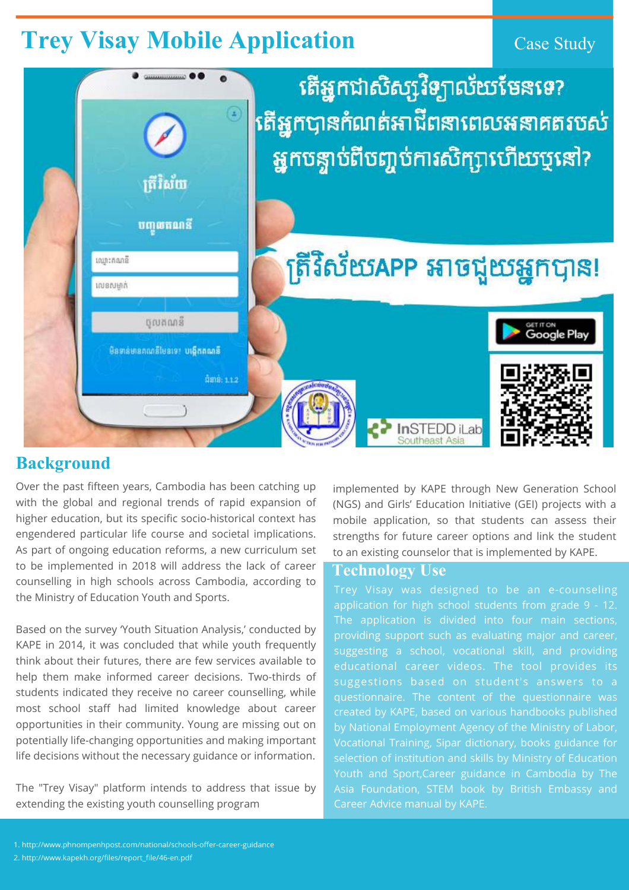# **Trey Visay Mobile Application** Case Study



**Background**

Over the past fifteen years, Cambodia has been catching up with the global and regional trends of rapid expansion of higher education, but its specific socio-historical context has engendered particular life course and societal implications. As part of ongoing education reforms, a new curriculum set to be implemented in 2018 will address the lack of career counselling in high schools across Cambodia, according to the Ministry of Education Youth and Sports.

Based on the survey 'Youth Situation Analysis,' conducted by KAPE in 2014, it was concluded that while youth frequently think about their futures, there are few services available to help them make informed career decisions. Two-thirds of students indicated they receive no career counselling, while most school staff had limited knowledge about career opportunities in their community. Young are missing out on potentially life-changing opportunities and making important life decisions without the necessary guidance or information.

The "Trey Visay" platform intends to address that issue by extending the existing youth counselling program

1. http://www.phnompenhpost.com/national/schools-offer-career-guidance 2. http://www.kapekh.org/files/report\_file/46-en.pdf

Trey Visay was designed to be an e-counseling application for high school students from grade 9 - 12. The application is divided into four main sections, providing support such as evaluating major and career, suggesting a school, vocational skill, and providing educational career videos. The tool provides its suggestions based on student's answers to a questionnaire. The content of the questionnaire was created by KAPE, based on various handbooks published by National Employment Agency of the Ministry of Labor, Vocational Training, Sipar dictionary, books guidance for selection of institution and skills by Ministry of Education Youth and Sport,Career guidance in Cambodia by The Asia Foundation, STEM book by British Embassy and Career Advice manual by KAPE.

implemented by KAPE through New Generation School (NGS) and Girls' Education Initiative (GEI) projects with a mobile application, so that students can assess their strengths for future career options and link the student to an existing counselor that is implemented by KAPE.

#### **Technology Use**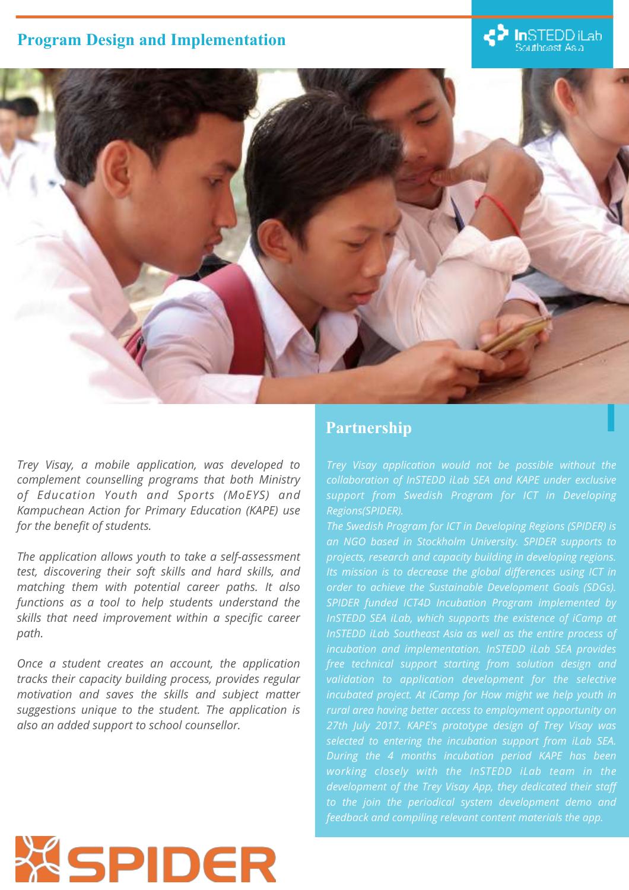

*Trey Visay, a mobile application, was developed to complement counselling programs that both Ministry of Education Youth and Sports (MoEYS) and Kampuchean Action for Primary Education (KAPE) use for the benefit of students.*

*The application allows youth to take a self-assessment test, discovering their soft skills and hard skills, and matching them with potential career paths. It also functions as a tool to help students understand the skills that need improvement within a specific career path.*

*Once a student creates an account, the application tracks their capacity building process, provides regular motivation and saves the skills and subject matter suggestions unique to the student. The application is also an added support to school counsellor.* 

**XSPIDER** 

# **Program Design and Implementation**

# **In**STEDD iLab<br>Southeast Asia

*Trey Visay application would not be possible without the* 

*collaboration of InSTEDD iLab SEA and KAPE under exclusive support from Swedish Program for ICT in Developing Regions(SPIDER).* 

*The Swedish Program for ICT in Developing Regions (SPIDER) is an NGO based in Stockholm University. SPIDER supports to projects, research and capacity building in developing regions. Its mission is to decrease the global differences using ICT in order to achieve the Sustainable Development Goals (SDGs). SPIDER funded ICT4D Incubation Program implemented by InSTEDD SEA iLab, which supports the existence of iCamp at InSTEDD iLab Southeast Asia as well as the entire process of incubation and implementation. InSTEDD iLab SEA provides free technical support starting from solution design and*  validation to application development for the selective *incubated project. At iCamp for How might we help youth in rural area having better access to employment opportunity on 27th July 2017. KAPE's prototype design of Trey Visay was selected to entering the incubation support from iLab SEA. During the 4 months incubation period KAPE has been working closely with the InSTEDD iLab team in the development of the Trey Visay App, they dedicated their staff to the join the periodical system development demo and feedback and compiling relevant content materials the app.* 

### **Partnership**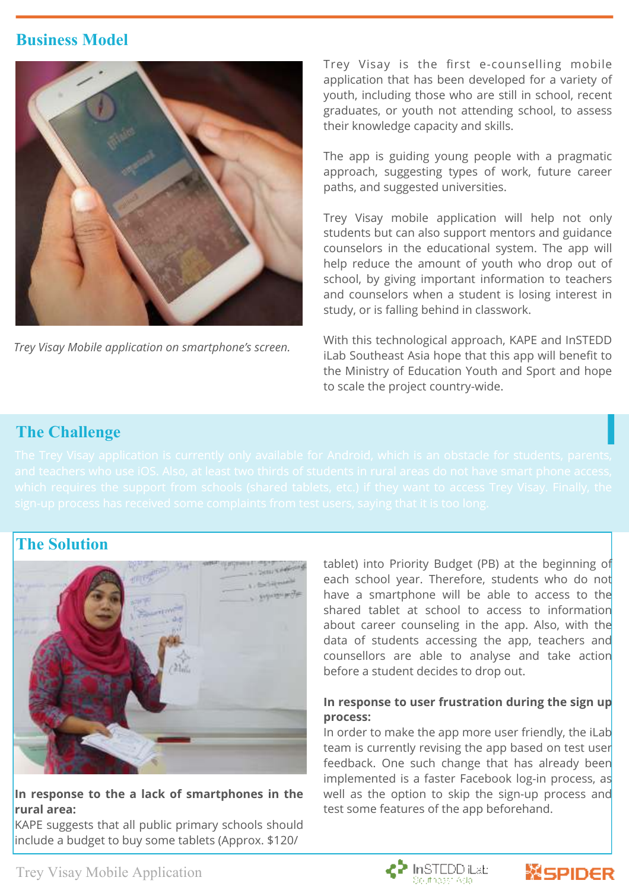*Trey Visay Mobile application on smartphone's screen.* 

# **The Challenge**

In order to make the app more user friendly, the iLab team is currently revising the app based on test user feedback. One such change that has already been implemented is a faster Facebook log-in process, as well as the option to skip the sign-up process and test some features of the app beforehand.



# **Business Model**





**In response to the a lack of smartphones in the rural area:**

KAPE suggests that all public primary schools should include a budget to buy some tablets (Approx. \$120/

# **The Solution**



tablet) into Priority Budget (PB) at the beginning of each school year. Therefore, students who do not have a smartphone will be able to access to the shared tablet at school to access to information about career counseling in the app. Also, with the data of students accessing the app, teachers and counsellors are able to analyse and take action before a student decides to drop out.

#### **In response to user frustration during the sign up process:**

Trey Visay is the first e-counselling mobile application that has been developed for a variety of youth, including those who are still in school, recent graduates, or youth not attending school, to assess their knowledge capacity and skills.

The app is guiding young people with a pragmatic approach, suggesting types of work, future career paths, and suggested universities.

Trey Visay mobile application will help not only students but can also support mentors and guidance counselors in the educational system. The app will help reduce the amount of youth who drop out of school, by giving important information to teachers and counselors when a student is losing interest in study, or is falling behind in classwork.

With this technological approach, KAPE and InSTEDD iLab Southeast Asia hope that this app will benefit to the Ministry of Education Youth and Sport and hope to scale the project country-wide.